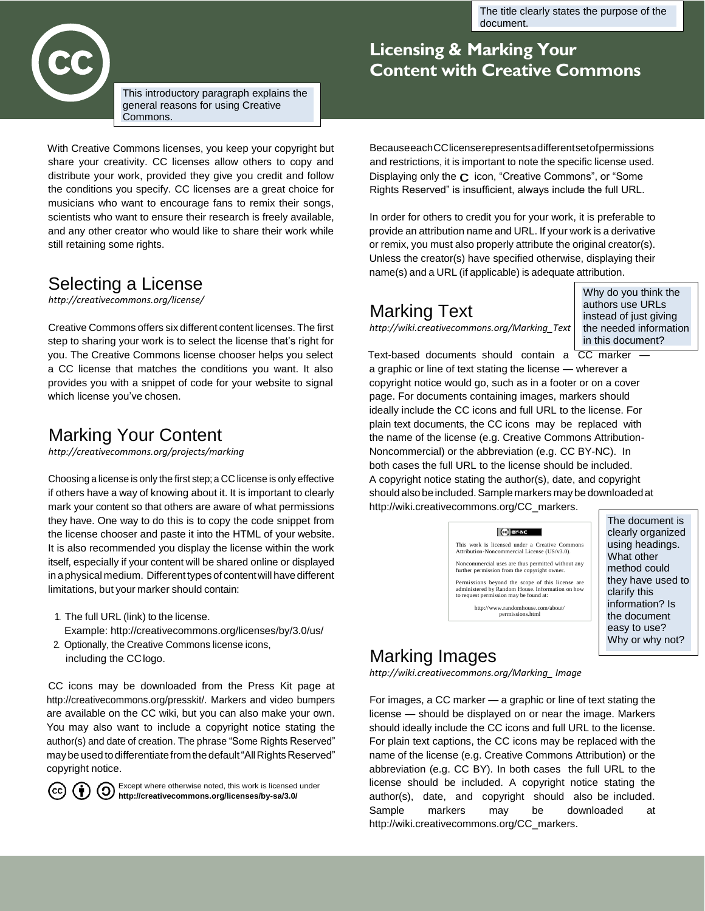The title clearly states the purpose of the document.



This introductory paragraph explains the general reasons for using Creative Commons.

With Creative Commons licenses, you keep your copyright but share your creativity. CC licenses allow others to copy and distribute your work, provided they give you credit and follow the conditions you specify. CC licenses are a great choice for musicians who want to encourage fans to remix their songs, scientists who want to ensure their research is freely available, and any other creator who would like to share their work while still retaining some rights.

## Selecting a License

*<http://creativecommons.org/license/>*

Creative Commons offers six different content licenses. The first step to sharing your work is to select the license that's right for you. The Creative Commons license chooser helps you select a CC license that matches the conditions you want. It also provides you with a snippet of code for your website to signal which license you've chosen.

## Marking Your Content

*<http://creativecommons.org/projects/marking>*

Choosing a license is only the first step; a CC license is only effective if others have a way of knowing about it. It is important to clearly mark your content so that others are aware of what permissions they have. One way to do this is to copy the code snippet from the license chooser and paste it into the HTML of your website. It is also recommended you display the license within the work itself, especially if your content will be shared online or displayed in a physical medium. Different types of content will have different limitations, but your marker should contain:

- 1. The full URL (link) to the license.
- Example:<http://creativecommons.org/licenses/by/3.0/us/>
- 2. Optionally, the Creative Commons license icons, including the CClogo.

CC icons may be downloaded from the Press Kit page at [http://creativecommons.org/presskit/. M](http://creativecommons.org/presskit/)arkers and video bumpers are available on the CC wiki, but you can also make your own. You may also want to include a copyright notice stating the author(s) and date of creation. The phrase "Some Rights Reserved" may be used to differentiate from the default "All Rights Reserved" copyright notice.



Except where otherwise noted, this work is licensed under **<http://creativecommons.org/licenses/by-sa/3.0/>**<br>http://creativecommons.org/licenses/by-sa/3.0/

## **Licensing & Marking Your Content with Creative Commons**

BecauseeachCClicenserepresentsadifferentsetofpermissions and restrictions, it is important to note the specific license used. Displaying only the  $C$  icon, "Creative Commons", or "Some Rights Reserved" is insufficient, always include the full URL.

In order for others to credit you for your work, it is preferable to provide an attribution name and URL. If your work is a derivative or remix, you must also properly attribute the original creator(s). Unless the creator(s) have specified otherwise, displaying their name(s) and a URL (if applicable) is adequate attribution.

## Marking Text

*[http://wiki.creativecommons.org/Marking\\_Text](http://wiki.creativecommons.org/Marking_Text)*

Why do you think the authors use URLs instead of just giving the needed information in this document?

Text-based documents should contain a CC marker a graphic or line of text stating the license — wherever a copyright notice would go, such as in a footer or on a cover page. For documents containing images, markers should ideally include the CC icons and full URL to the license. For plain text documents, the CC icons may be replaced with the name of the license (e.g. Creative Commons Attribution-Noncommercial) or the abbreviation (e.g. CC BY-NC). In both cases the full URL to the license should be included. A copyright notice stating the author(s), date, and copyright should also be included. Sample markers may be downloaded at [http://wiki.creativecommons.org/CC\\_markers.](http://wiki.creativecommons.org/CC_markers)



The document is clearly organized using headings. What other method could they have used to clarify this information? Is the document easy to use? Why or why not?

### Marking Images

*[http://wiki.creativecommons.org/Marking\\_ Image](http://wiki.creativecommons.org/Marking_Image)*

For images, a CC marker — a graphic or line of text stating the license — should be displayed on or near the image. Markers should ideally include the CC icons and full URL to the license. For plain text captions, the CC icons may be replaced with the name of the license (e.g. Creative Commons Attribution) or the abbreviation (e.g. CC BY). In both cases the full URL to the license should be included. A copyright notice stating the author(s), date, and copyright should also be included. Sample markers may be downloaded at [http://wiki.creativecommons.org/CC\\_markers.](http://wiki.creativecommons.org/CC_markers)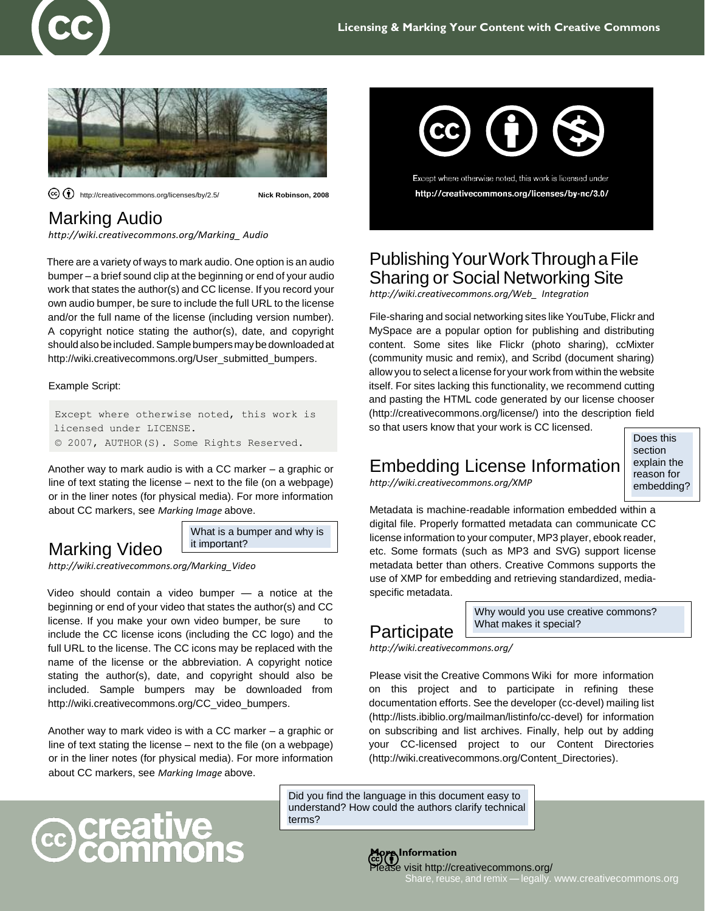

<http://creativecommons.org/licenses/by/2.5/> **Nick Robinson, 2008**

## Marking Audio

*[http://wiki.creativecommons.org/Marking\\_ Audio](http://wiki.creativecommons.org/Marking_Audio)*

There are a variety of ways to mark audio. One option is an audio bumper – a brief sound clip at the beginning or end of your audio work that states the author(s) and CC license. If you record your own audio bumper, be sure to include the full URL to the license and/or the full name of the license (including version number). A copyright notice stating the author(s), date, and copyright should also be included. Sample bumpers may be downloaded at [http://wiki.creativecommons.org/User\\_submitted\\_bumpers.](http://wiki.creativecommons.org/User_submitted_bumpers)

#### Example Script:

Except where otherwise noted, this work is licensed under LICENSE. © 2007, AUTHOR(S). Some Rights Reserved.

Another way to mark audio is with a CC marker – a graphic or line of text stating the license – next to the file (on a webpage) or in the liner notes (for physical media). For more information about CC markers, see *Marking Image* above.

> What is a bumper and why is it important?

*[http://wiki.creativecommons.org/Marking\\_Video](http://wiki.creativecommons.org/Marking_Video)*

Marking Video

**@creative**<br>Commor

Video should contain a video bumper — a notice at the beginning or end of your video that states the author(s) and CC license. If you make your own video bumper, be sure include the CC license icons (including the CC logo) and the full URL to the license. The CC icons may be replaced with the name of the license or the abbreviation. A copyright notice stating the author(s), date, and copyright should also be included. Sample bumpers may be downloaded from [http://wiki.creativecommons.org/CC\\_video\\_bumpers.](http://wiki.creativecommons.org/CC_video_bumpers)

Another way to mark video is with a CC marker – a graphic or line of text stating the license – next to the file (on a webpage) or in the liner notes (for physical media). For more information about CC markers, see *Marking Image* above.



Except where otherwise noted, this work is licensed under http://creativecommons.org/licenses/by-nc/3.0/

## PublishingYourWorkThroughaFile Sharing or Social Networking Site

*[http://wiki.creativecommons.org/Web\\_ Integration](http://wiki.creativecommons.org/Web_Integration)*

File-sharing and social networking sites like YouTube, Flickr and MySpace are a popular option for publishing and distributing content. Some sites like Flickr (photo sharing), ccMixter (community music and remix), and Scribd (document sharing) allow you to select a license for your work from within the website itself. For sites lacking this functionality, we recommend cutting and pasting the HTML code generated by our license chooser [\(http://creativecommons.org/license/\) in](http://creativecommons.org/license/))to the description field so that users know that your work is CC licensed.

## Embedding License Information

*<http://wiki.creativecommons.org/XMP>*

Does this section explain the reason for embedding?

Metadata is machine-readable information embedded within a digital file. Properly formatted metadata can communicate CC license information to your computer, MP3 player, ebook reader, etc. Some formats (such as MP3 and SVG) support license metadata better than others. Creative Commons supports the use of XMP for embedding and retrieving standardized, mediaspecific metadata.

# Participate

Why would you use creative commons? What makes it special?

*<http://wiki.creativecommons.org/>*

Please visit the Creative Commons Wiki for more information on this project and to participate in refining these documentation efforts. See the developer (cc-devel) mailing list [\(http://lists.ibiblio.org/mailman/listinfo/cc-devel\)](http://lists.ibiblio.org/mailman/listinfo/cc-devel)) for information on subscribing and list archives. Finally, help out by adding your CC-licensed project to our Content Directories [\(http://wiki.creativecommons.org/Content\\_Directories\).](http://wiki.creativecommons.org/Content_Directories))

Did you find the language in this document easy to understand? How could the authors clarify technical terms?



## ease visit<http://creativecommons.org/>

Share, reuse, and remix — legally[. www.creativecommons.org](http://www.creativecommons.org/)